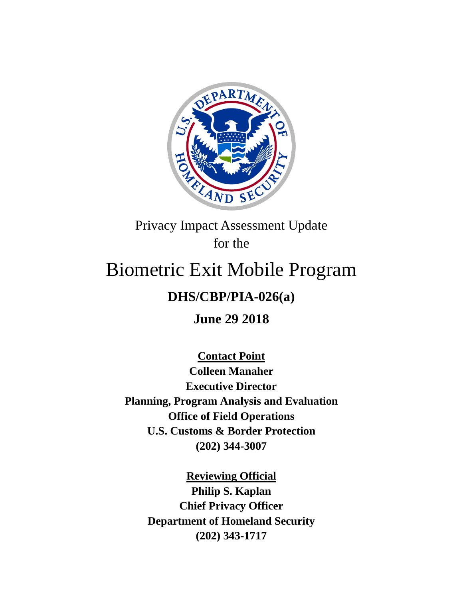

Privacy Impact Assessment Update for the

# Biometric Exit Mobile Program

## **DHS/CBP/PIA-026(a)**

**June 29 2018**

**Contact Point Colleen Manaher Executive Director Planning, Program Analysis and Evaluation Office of Field Operations U.S. Customs & Border Protection (202) 344-3007**

> **Reviewing Official Philip S. Kaplan Chief Privacy Officer Department of Homeland Security (202) 343-1717**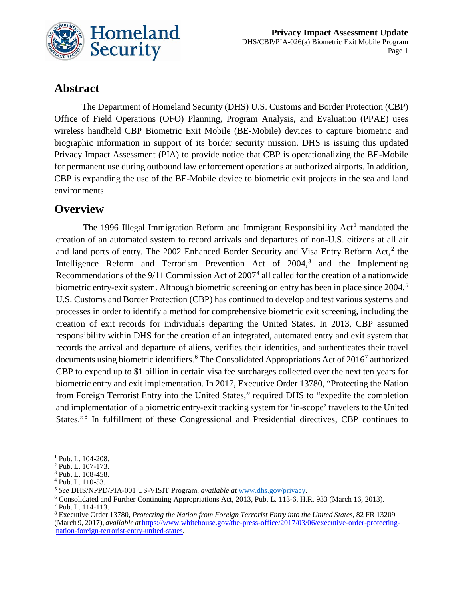

## **Abstract**

The Department of Homeland Security (DHS) U.S. Customs and Border Protection (CBP) Office of Field Operations (OFO) Planning, Program Analysis, and Evaluation (PPAE) uses wireless handheld CBP Biometric Exit Mobile (BE-Mobile) devices to capture biometric and biographic information in support of its border security mission. DHS is issuing this updated Privacy Impact Assessment (PIA) to provide notice that CBP is operationalizing the BE-Mobile for permanent use during outbound law enforcement operations at authorized airports. In addition, CBP is expanding the use of the BE-Mobile device to biometric exit projects in the sea and land environments.

## **Overview**

The [1](#page-1-0)996 Illegal Immigration Reform and Immigrant Responsibility Act<sup>1</sup> mandated the creation of an automated system to record arrivals and departures of non-U.S. citizens at all air and land ports of entry. The [2](#page-1-1)002 Enhanced Border Security and Visa Entry Reform Act,<sup>2</sup> the Intelligence Reform and Terrorism Prevention Act of  $2004$ ,<sup>[3](#page-1-2)</sup> and the Implementing Recommendations of the 9/11 Commission Act of 2007<sup>[4](#page-1-3)</sup> all called for the creation of a nationwide biometric entry-exit system. Although biometric screening on entry has been in place since 2004,<sup>[5](#page-1-4)</sup> U.S. Customs and Border Protection (CBP) has continued to develop and test various systems and processes in order to identify a method for comprehensive biometric exit screening, including the creation of exit records for individuals departing the United States. In 2013, CBP assumed responsibility within DHS for the creation of an integrated, automated entry and exit system that records the arrival and departure of aliens, verifies their identities, and authenticates their travel documents using biometric identifiers.<sup>[6](#page-1-5)</sup> The Consolidated Appropriations Act of 2016<sup>[7](#page-1-6)</sup> authorized CBP to expend up to \$1 billion in certain visa fee surcharges collected over the next ten years for biometric entry and exit implementation. In 2017, Executive Order 13780, "Protecting the Nation from Foreign Terrorist Entry into the United States," required DHS to "expedite the completion and implementation of a biometric entry-exit tracking system for 'in-scope' travelers to the United States."[8](#page-1-7) In fulfillment of these Congressional and Presidential directives, CBP continues to

<span id="page-1-1"></span><span id="page-1-0"></span><sup>1</sup> Pub. L. 104-208. <sup>2</sup> Pub. L. 107-173. <sup>3</sup> Pub. L. 108-458. <sup>4</sup> Pub. L. 110-53.

<span id="page-1-2"></span>

<span id="page-1-4"></span><span id="page-1-3"></span><sup>5</sup> *See* DHS/NPPD/PIA-001 US-VISIT Program, *available at* [www.dhs.gov/privacy.](http://www.dhs.gov/privacy)

<span id="page-1-7"></span><span id="page-1-6"></span><span id="page-1-5"></span><sup>&</sup>lt;sup>7</sup> Pub. L. 114-113.<br><sup>8</sup> Executive Order 13780, Protecting the Nation from Foreign Terrorist Entry into the United States, 82 FR 13209 (March 9, 2017), *available at* [https://www.whitehouse.gov/the-press-office/2017/03/06/executive-order-protecting](https://www.whitehouse.gov/the-press-office/2017/03/06/executive-order-protecting-nation-foreign-terrorist-entry-united-states)[nation-foreign-terrorist-entry-united-states.](https://www.whitehouse.gov/the-press-office/2017/03/06/executive-order-protecting-nation-foreign-terrorist-entry-united-states)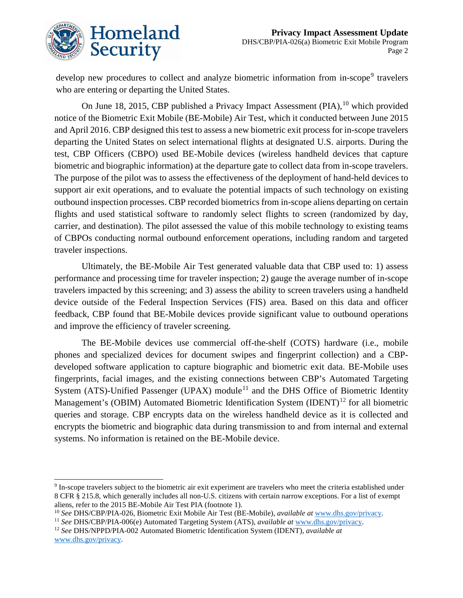

develop new procedures to collect and analyze biometric information from in-scope<sup>[9](#page-2-0)</sup> travelers who are entering or departing the United States.

On June 18, 2015, CBP published a Privacy Impact Assessment (PIA),<sup>[10](#page-2-1)</sup> which provided notice of the Biometric Exit Mobile (BE-Mobile) Air Test, which it conducted between June 2015 and April 2016. CBP designed this test to assess a new biometric exit process for in-scope travelers departing the United States on select international flights at designated U.S. airports. During the test, CBP Officers (CBPO) used BE-Mobile devices (wireless handheld devices that capture biometric and biographic information) at the departure gate to collect data from in-scope travelers. The purpose of the pilot was to assess the effectiveness of the deployment of hand-held devices to support air exit operations, and to evaluate the potential impacts of such technology on existing outbound inspection processes. CBP recorded biometrics from in-scope aliens departing on certain flights and used statistical software to randomly select flights to screen (randomized by day, carrier, and destination). The pilot assessed the value of this mobile technology to existing teams of CBPOs conducting normal outbound enforcement operations, including random and targeted traveler inspections.

Ultimately, the BE-Mobile Air Test generated valuable data that CBP used to: 1) assess performance and processing time for traveler inspection; 2) gauge the average number of in-scope travelers impacted by this screening; and 3) assess the ability to screen travelers using a handheld device outside of the Federal Inspection Services (FIS) area. Based on this data and officer feedback, CBP found that BE-Mobile devices provide significant value to outbound operations and improve the efficiency of traveler screening.

The BE-Mobile devices use commercial off-the-shelf (COTS) hardware (i.e., mobile phones and specialized devices for document swipes and fingerprint collection) and a CBPdeveloped software application to capture biographic and biometric exit data. BE-Mobile uses fingerprints, facial images, and the existing connections between CBP's Automated Targeting System (ATS)-Unified Passenger (UPAX) module<sup>[11](#page-2-2)</sup> and the DHS Office of Biometric Identity Management's (OBIM) Automated Biometric Identification System (IDENT)<sup>[12](#page-2-3)</sup> for all biometric queries and storage. CBP encrypts data on the wireless handheld device as it is collected and encrypts the biometric and biographic data during transmission to and from internal and external systems. No information is retained on the BE-Mobile device.

<span id="page-2-2"></span><sup>11</sup> *See* DHS/CBP/PIA-006(e) Automated Targeting System (ATS), *available at* [www.dhs.gov/privacy.](http://www.dhs.gov/privacy)

<span id="page-2-3"></span><sup>12</sup> *See* DHS/NPPD/PIA-002 Automated Biometric Identification System (IDENT), *available at*  [www.dhs.gov/privacy.](http://www.dhs.gov/privacy)

<span id="page-2-0"></span> <sup>9</sup> In-scope travelers subject to the biometric air exit experiment are travelers who meet the criteria established under 8 CFR § 215.8, which generally includes all non-U.S. citizens with certain narrow exceptions. For a list of exempt aliens, refer to the 2015 BE-Mobile Air Test PIA (footnote 1).

<span id="page-2-1"></span><sup>10</sup> *See* DHS/CBP/PIA-026, Biometric Exit Mobile Air Test (BE-Mobile), *available at* [www.dhs.gov/privacy.](http://www.dhs.gov/privacy)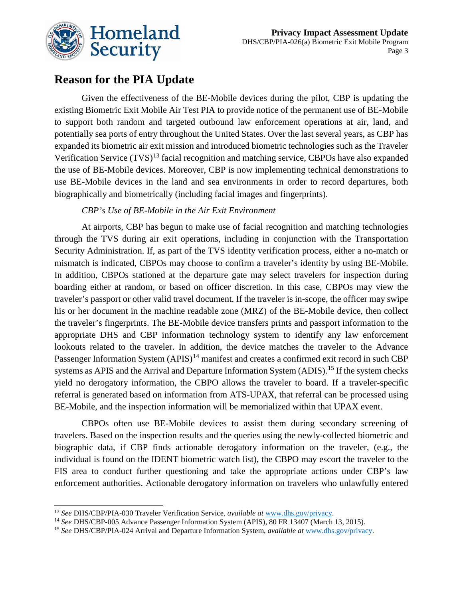

## **Reason for the PIA Update**

Given the effectiveness of the BE-Mobile devices during the pilot, CBP is updating the existing Biometric Exit Mobile Air Test PIA to provide notice of the permanent use of BE-Mobile to support both random and targeted outbound law enforcement operations at air, land, and potentially sea ports of entry throughout the United States. Over the last several years, as CBP has expanded its biometric air exit mission and introduced biometric technologies such as the Traveler Verification Service  $(TVS)^{13}$  $(TVS)^{13}$  $(TVS)^{13}$  facial recognition and matching service, CBPOs have also expanded the use of BE-Mobile devices. Moreover, CBP is now implementing technical demonstrations to use BE-Mobile devices in the land and sea environments in order to record departures, both biographically and biometrically (including facial images and fingerprints).

#### *CBP's Use of BE-Mobile in the Air Exit Environment*

At airports, CBP has begun to make use of facial recognition and matching technologies through the TVS during air exit operations, including in conjunction with the Transportation Security Administration. If, as part of the TVS identity verification process, either a no-match or mismatch is indicated, CBPOs may choose to confirm a traveler's identity by using BE-Mobile. In addition, CBPOs stationed at the departure gate may select travelers for inspection during boarding either at random, or based on officer discretion. In this case, CBPOs may view the traveler's passport or other valid travel document. If the traveler is in-scope, the officer may swipe his or her document in the machine readable zone (MRZ) of the BE-Mobile device, then collect the traveler's fingerprints. The BE-Mobile device transfers prints and passport information to the appropriate DHS and CBP information technology system to identify any law enforcement lookouts related to the traveler. In addition, the device matches the traveler to the Advance Passenger Information System  $(APIS)^{14}$  $(APIS)^{14}$  $(APIS)^{14}$  manifest and creates a confirmed exit record in such CBP systems as APIS and the Arrival and Departure Information System (ADIS).<sup>[15](#page-3-2)</sup> If the system checks yield no derogatory information, the CBPO allows the traveler to board. If a traveler-specific referral is generated based on information from ATS-UPAX, that referral can be processed using BE-Mobile, and the inspection information will be memorialized within that UPAX event.

CBPOs often use BE-Mobile devices to assist them during secondary screening of travelers. Based on the inspection results and the queries using the newly-collected biometric and biographic data, if CBP finds actionable derogatory information on the traveler, (e.g., the individual is found on the IDENT biometric watch list), the CBPO may escort the traveler to the FIS area to conduct further questioning and take the appropriate actions under CBP's law enforcement authorities. Actionable derogatory information on travelers who unlawfully entered

<span id="page-3-0"></span> <sup>13</sup> *See* DHS/CBP/PIA-030 Traveler Verification Service, *available at* [www.dhs.gov/privacy.](http://www.dhs.gov/privacy)

<span id="page-3-1"></span><sup>14</sup> *See* DHS/CBP-005 Advance Passenger Information System (APIS), 80 FR 13407 (March 13, 2015).

<span id="page-3-2"></span><sup>15</sup> *See* DHS/CBP/PIA-024 Arrival and Departure Information System, *available at* [www.dhs.gov/privacy.](http://www.dhs.gov/privacy)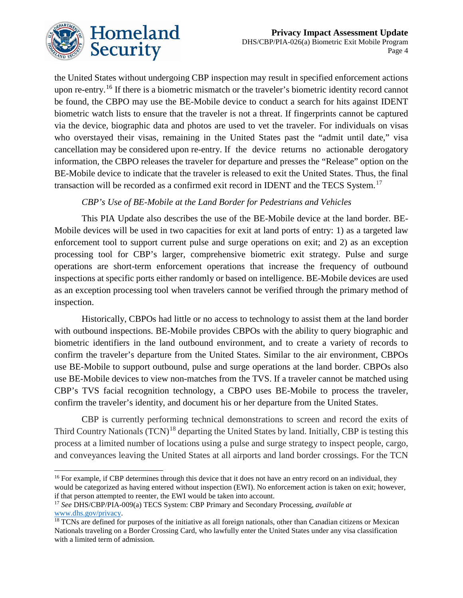

the United States without undergoing CBP inspection may result in specified enforcement actions upon re-entry.<sup>[16](#page-4-0)</sup> If there is a biometric mismatch or the traveler's biometric identity record cannot be found, the CBPO may use the BE-Mobile device to conduct a search for hits against IDENT biometric watch lists to ensure that the traveler is not a threat. If fingerprints cannot be captured via the device, biographic data and photos are used to vet the traveler. For individuals on visas who overstayed their visas, remaining in the United States past the "admit until date," visa cancellation may be considered upon re-entry. If the device returns no actionable derogatory information, the CBPO releases the traveler for departure and presses the "Release" option on the BE-Mobile device to indicate that the traveler is released to exit the United States. Thus, the final transaction will be recorded as a confirmed exit record in IDENT and the TECS System.<sup>[17](#page-4-1)</sup>

#### *CBP's Use of BE-Mobile at the Land Border for Pedestrians and Vehicles*

This PIA Update also describes the use of the BE-Mobile device at the land border. BE-Mobile devices will be used in two capacities for exit at land ports of entry: 1) as a targeted law enforcement tool to support current pulse and surge operations on exit; and 2) as an exception processing tool for CBP's larger, comprehensive biometric exit strategy. Pulse and surge operations are short-term enforcement operations that increase the frequency of outbound inspections at specific ports either randomly or based on intelligence. BE-Mobile devices are used as an exception processing tool when travelers cannot be verified through the primary method of inspection.

Historically, CBPOs had little or no access to technology to assist them at the land border with outbound inspections. BE-Mobile provides CBPOs with the ability to query biographic and biometric identifiers in the land outbound environment, and to create a variety of records to confirm the traveler's departure from the United States. Similar to the air environment, CBPOs use BE-Mobile to support outbound, pulse and surge operations at the land border. CBPOs also use BE-Mobile devices to view non-matches from the TVS. If a traveler cannot be matched using CBP's TVS facial recognition technology, a CBPO uses BE-Mobile to process the traveler, confirm the traveler's identity, and document his or her departure from the United States.

CBP is currently performing technical demonstrations to screen and record the exits of Third Country Nationals (TCN)<sup>[18](#page-4-2)</sup> departing the United States by land. Initially, CBP is testing this process at a limited number of locations using a pulse and surge strategy to inspect people, cargo, and conveyances leaving the United States at all airports and land border crossings. For the TCN

<span id="page-4-0"></span><sup>&</sup>lt;sup>16</sup> For example, if CBP determines through this device that it does not have an entry record on an individual, they would be categorized as having entered without inspection (EWI). No enforcement action is taken on exit; however, if that person attempted to reenter, the EWI would be taken into account.

<span id="page-4-1"></span><sup>17</sup> *See* DHS/CBP/PIA-009(a) TECS System: CBP Primary and Secondary Processing, *available at*  [www.dhs.gov/privacy.](http://www.dhs.gov/privacy)

<span id="page-4-2"></span><sup>&</sup>lt;sup>18</sup> TCNs are defined for purposes of the initiative as all foreign nationals, other than Canadian citizens or Mexican Nationals traveling on a Border Crossing Card, who lawfully enter the United States under any visa classification with a limited term of admission.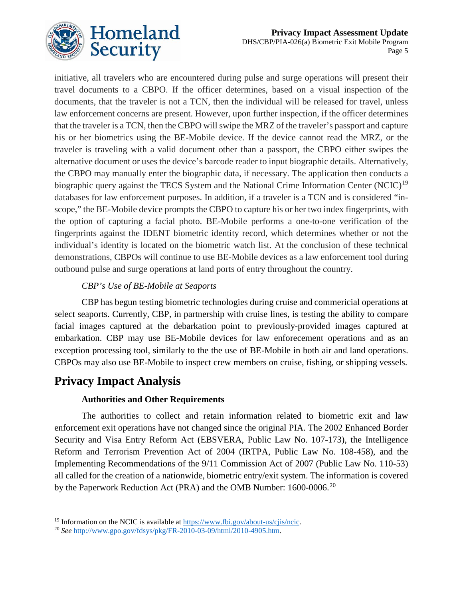

initiative, all travelers who are encountered during pulse and surge operations will present their travel documents to a CBPO. If the officer determines, based on a visual inspection of the documents, that the traveler is not a TCN, then the individual will be released for travel, unless law enforcement concerns are present. However, upon further inspection, if the officer determines that the traveler is a TCN, then the CBPO will swipe the MRZ of the traveler's passport and capture his or her biometrics using the BE-Mobile device. If the device cannot read the MRZ, or the traveler is traveling with a valid document other than a passport, the CBPO either swipes the alternative document or uses the device's barcode reader to input biographic details. Alternatively, the CBPO may manually enter the biographic data, if necessary. The application then conducts a biographic query against the TECS System and the National Crime Information Center (NCIC)<sup>[19](#page-5-0)</sup> databases for law enforcement purposes. In addition, if a traveler is a TCN and is considered "inscope," the BE-Mobile device prompts the CBPO to capture his or her two index fingerprints, with the option of capturing a facial photo. BE-Mobile performs a one-to-one verification of the fingerprints against the IDENT biometric identity record, which determines whether or not the individual's identity is located on the biometric watch list. At the conclusion of these technical demonstrations, CBPOs will continue to use BE-Mobile devices as a law enforcement tool during outbound pulse and surge operations at land ports of entry throughout the country.

#### *CBP's Use of BE-Mobile at Seaports*

CBP has begun testing biometric technologies during cruise and commericial operations at select seaports. Currently, CBP, in partnership with cruise lines, is testing the ability to compare facial images captured at the debarkation point to previously-provided images captured at embarkation. CBP may use BE-Mobile devices for law enforecement operations and as an exception processing tool, similarly to the the use of BE-Mobile in both air and land operations. CBPOs may also use BE-Mobile to inspect crew members on cruise, fishing, or shipping vessels.

### **Privacy Impact Analysis**

#### **Authorities and Other Requirements**

The authorities to collect and retain information related to biometric exit and law enforcement exit operations have not changed since the original PIA. The 2002 Enhanced Border Security and Visa Entry Reform Act (EBSVERA, Public Law No. 107-173), the Intelligence Reform and Terrorism Prevention Act of 2004 (IRTPA, Public Law No. 108-458), and the Implementing Recommendations of the 9/11 Commission Act of 2007 (Public Law No. 110-53) all called for the creation of a nationwide, biometric entry/exit system. The information is covered by the Paperwork Reduction Act (PRA) and the OMB Number: 1600-0006.<sup>[20](#page-5-1)</sup>

<span id="page-5-0"></span><sup>&</sup>lt;sup>19</sup> Information on the NCIC is available at [https://www.fbi.gov/about-us/cjis/ncic.](https://www.fbi.gov/about-us/cjis/ncic)

<span id="page-5-1"></span><sup>20</sup> *See* [http://www.gpo.gov/fdsys/pkg/FR-2010-03-09/html/2010-4905.htm.](http://www.gpo.gov/fdsys/pkg/FR-2010-03-09/html/2010-4905.htm)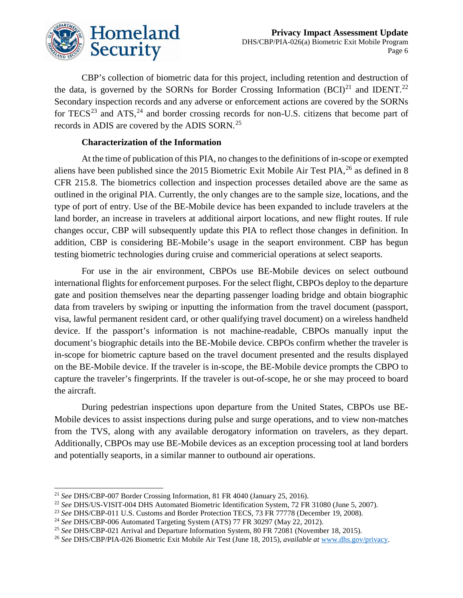

CBP's collection of biometric data for this project, including retention and destruction of the data, is governed by the SORNs for Border Crossing Information  $(BCI)^{21}$  $(BCI)^{21}$  $(BCI)^{21}$  and IDENT.<sup>[22](#page-6-1)</sup> Secondary inspection records and any adverse or enforcement actions are covered by the SORNs for TECS<sup>[23](#page-6-2)</sup> and ATS,<sup>[24](#page-6-3)</sup> and border crossing records for non-U.S. citizens that become part of records in ADIS are covered by the ADIS SORN.<sup>[25](#page-6-4)</sup>

#### **Characterization of the Information**

At the time of publication of this PIA, no changes to the definitions of in-scope or exempted aliens have been published since the 2015 Biometric Exit Mobile Air Test PIA, <sup>[26](#page-6-5)</sup> as defined in 8 CFR 215.8. The biometrics collection and inspection processes detailed above are the same as outlined in the original PIA. Currently, the only changes are to the sample size, locations, and the type of port of entry. Use of the BE-Mobile device has been expanded to include travelers at the land border, an increase in travelers at additional airport locations, and new flight routes. If rule changes occur, CBP will subsequently update this PIA to reflect those changes in definition. In addition, CBP is considering BE-Mobile's usage in the seaport environment. CBP has begun testing biometric technologies during cruise and commericial operations at select seaports.

For use in the air environment, CBPOs use BE-Mobile devices on select outbound international flights for enforcement purposes. For the select flight, CBPOs deploy to the departure gate and position themselves near the departing passenger loading bridge and obtain biographic data from travelers by swiping or inputting the information from the travel document (passport, visa, lawful permanent resident card, or other qualifying travel document) on a wireless handheld device. If the passport's information is not machine-readable, CBPOs manually input the document's biographic details into the BE-Mobile device. CBPOs confirm whether the traveler is in-scope for biometric capture based on the travel document presented and the results displayed on the BE-Mobile device. If the traveler is in-scope, the BE-Mobile device prompts the CBPO to capture the traveler's fingerprints. If the traveler is out-of-scope, he or she may proceed to board the aircraft.

During pedestrian inspections upon departure from the United States, CBPOs use BE-Mobile devices to assist inspections during pulse and surge operations, and to view non-matches from the TVS, along with any available derogatory information on travelers, as they depart. Additionally, CBPOs may use BE-Mobile devices as an exception processing tool at land borders and potentially seaports, in a similar manner to outbound air operations.

<span id="page-6-0"></span> <sup>21</sup> *See* DHS/CBP-007 Border Crossing Information, 81 FR 4040 (January 25, 2016).

<span id="page-6-1"></span><sup>22</sup> *See* DHS/US-VISIT-004 DHS Automated Biometric Identification System, 72 FR 31080 (June 5, 2007).

<span id="page-6-2"></span><sup>23</sup> *See* DHS/CBP-011 U.S. Customs and Border Protection TECS, 73 FR 77778 (December 19, 2008).

<span id="page-6-3"></span><sup>24</sup> *See* DHS/CBP-006 Automated Targeting System (ATS) 77 FR 30297 (May 22, 2012).

<span id="page-6-4"></span><sup>25</sup> *See* DHS/CBP-021 Arrival and Departure Information System, 80 FR 72081 (November 18, 2015).

<span id="page-6-5"></span><sup>26</sup> *See* DHS/CBP/PIA-026 Biometric Exit Mobile Air Test (June 18, 2015), *available at* [www.dhs.gov/privacy.](http://www.dhs.gov/privacy)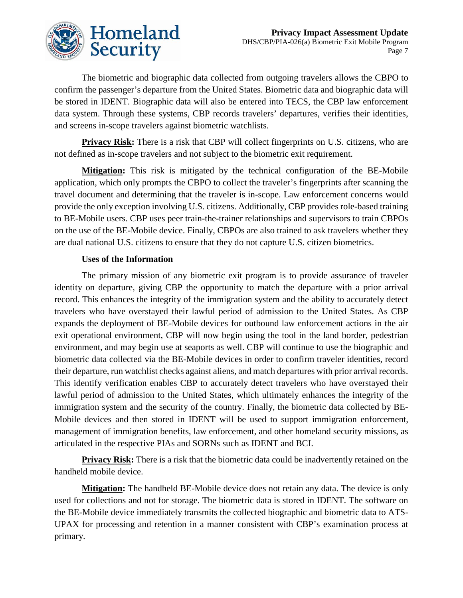

The biometric and biographic data collected from outgoing travelers allows the CBPO to confirm the passenger's departure from the United States. Biometric data and biographic data will be stored in IDENT. Biographic data will also be entered into TECS, the CBP law enforcement data system. Through these systems, CBP records travelers' departures, verifies their identities, and screens in-scope travelers against biometric watchlists.

**Privacy Risk:** There is a risk that CBP will collect fingerprints on U.S. citizens, who are not defined as in-scope travelers and not subject to the biometric exit requirement.

**Mitigation:** This risk is mitigated by the technical configuration of the BE-Mobile application, which only prompts the CBPO to collect the traveler's fingerprints after scanning the travel document and determining that the traveler is in-scope. Law enforcement concerns would provide the only exception involving U.S. citizens. Additionally, CBP provides role-based training to BE-Mobile users. CBP uses peer train-the-trainer relationships and supervisors to train CBPOs on the use of the BE-Mobile device. Finally, CBPOs are also trained to ask travelers whether they are dual national U.S. citizens to ensure that they do not capture U.S. citizen biometrics.

#### **Uses of the Information**

The primary mission of any biometric exit program is to provide assurance of traveler identity on departure, giving CBP the opportunity to match the departure with a prior arrival record. This enhances the integrity of the immigration system and the ability to accurately detect travelers who have overstayed their lawful period of admission to the United States. As CBP expands the deployment of BE-Mobile devices for outbound law enforcement actions in the air exit operational environment, CBP will now begin using the tool in the land border, pedestrian environment, and may begin use at seaports as well. CBP will continue to use the biographic and biometric data collected via the BE-Mobile devices in order to confirm traveler identities, record their departure, run watchlist checks against aliens, and match departures with prior arrival records. This identify verification enables CBP to accurately detect travelers who have overstayed their lawful period of admission to the United States, which ultimately enhances the integrity of the immigration system and the security of the country. Finally, the biometric data collected by BE-Mobile devices and then stored in IDENT will be used to support immigration enforcement, management of immigration benefits, law enforcement, and other homeland security missions, as articulated in the respective PIAs and SORNs such as IDENT and BCI.

**Privacy Risk:** There is a risk that the biometric data could be inadvertently retained on the handheld mobile device.

**Mitigation:** The handheld BE-Mobile device does not retain any data. The device is only used for collections and not for storage. The biometric data is stored in IDENT. The software on the BE-Mobile device immediately transmits the collected biographic and biometric data to ATS-UPAX for processing and retention in a manner consistent with CBP's examination process at primary.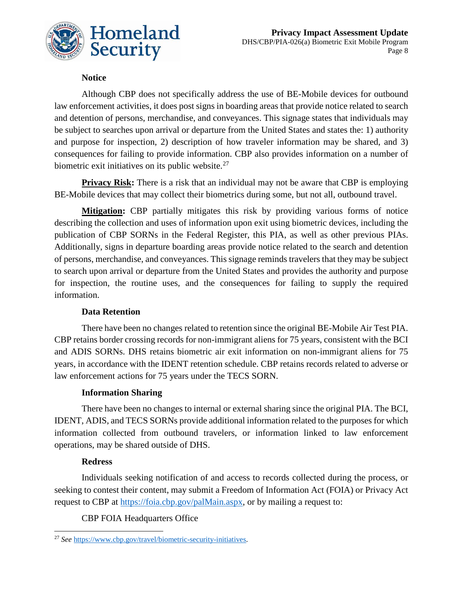

#### **Notice**

Although CBP does not specifically address the use of BE-Mobile devices for outbound law enforcement activities, it does post signs in boarding areas that provide notice related to search and detention of persons, merchandise, and conveyances. This signage states that individuals may be subject to searches upon arrival or departure from the United States and states the: 1) authority and purpose for inspection, 2) description of how traveler information may be shared, and 3) consequences for failing to provide information. CBP also provides information on a number of biometric exit initiatives on its public website. $27$ 

**Privacy Risk:** There is a risk that an individual may not be aware that CBP is employing BE-Mobile devices that may collect their biometrics during some, but not all, outbound travel.

**Mitigation:** CBP partially mitigates this risk by providing various forms of notice describing the collection and uses of information upon exit using biometric devices, including the publication of CBP SORNs in the Federal Register, this PIA, as well as other previous PIAs. Additionally, signs in departure boarding areas provide notice related to the search and detention of persons, merchandise, and conveyances. This signage reminds travelers that they may be subject to search upon arrival or departure from the United States and provides the authority and purpose for inspection, the routine uses, and the consequences for failing to supply the required information.

#### **Data Retention**

There have been no changes related to retention since the original BE-Mobile Air Test PIA. CBP retains border crossing records for non-immigrant aliens for 75 years, consistent with the BCI and ADIS SORNs. DHS retains biometric air exit information on non-immigrant aliens for 75 years, in accordance with the IDENT retention schedule. CBP retains records related to adverse or law enforcement actions for 75 years under the TECS SORN.

#### **Information Sharing**

There have been no changes to internal or external sharing since the original PIA. The BCI, IDENT, ADIS, and TECS SORNs provide additional information related to the purposes for which information collected from outbound travelers, or information linked to law enforcement operations, may be shared outside of DHS.

#### **Redress**

Individuals seeking notification of and access to records collected during the process, or seeking to contest their content, may submit a Freedom of Information Act (FOIA) or Privacy Act request to CBP at [https://foia.cbp.gov/palMain.aspx,](https://foia.cbp.gov/palMain.aspx) or by mailing a request to:

CBP FOIA Headquarters Office

<span id="page-8-0"></span> <sup>27</sup> *See* [https://www.cbp.gov/travel/biometric-security-initiatives.](https://www.cbp.gov/travel/biometric-security-initiatives)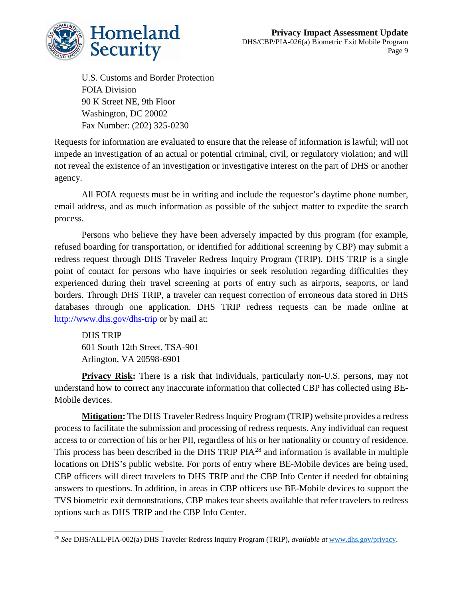

U.S. Customs and Border Protection FOIA Division 90 K Street NE, 9th Floor Washington, DC 20002 Fax Number: (202) 325-0230

Requests for information are evaluated to ensure that the release of information is lawful; will not impede an investigation of an actual or potential criminal, civil, or regulatory violation; and will not reveal the existence of an investigation or investigative interest on the part of DHS or another agency.

All FOIA requests must be in writing and include the requestor's daytime phone number, email address, and as much information as possible of the subject matter to expedite the search process.

Persons who believe they have been adversely impacted by this program (for example, refused boarding for transportation, or identified for additional screening by CBP) may submit a redress request through DHS Traveler Redress Inquiry Program (TRIP). DHS TRIP is a single point of contact for persons who have inquiries or seek resolution regarding difficulties they experienced during their travel screening at ports of entry such as airports, seaports, or land borders. Through DHS TRIP, a traveler can request correction of erroneous data stored in DHS databases through one application. DHS TRIP redress requests can be made online at http://www.dhs.gov/dhs-trip or by mail at:

DHS TRIP 601 South 12th Street, TSA-901 Arlington, VA 20598-6901

**Privacy Risk:** There is a risk that individuals, particularly non-U.S. persons, may not understand how to correct any inaccurate information that collected CBP has collected using BE-Mobile devices.

**Mitigation:** The DHS Traveler Redress Inquiry Program (TRIP) website provides a redress process to facilitate the submission and processing of redress requests. Any individual can request access to or correction of his or her PII, regardless of his or her nationality or country of residence. This process has been described in the DHS TRIP  $PIA^{28}$  $PIA^{28}$  $PIA^{28}$  and information is available in multiple locations on DHS's public website. For ports of entry where BE-Mobile devices are being used, CBP officers will direct travelers to DHS TRIP and the CBP Info Center if needed for obtaining answers to questions. In addition, in areas in CBP officers use BE-Mobile devices to support the TVS biometric exit demonstrations, CBP makes tear sheets available that refer travelers to redress options such as DHS TRIP and the CBP Info Center.

<span id="page-9-0"></span> <sup>28</sup> *See* DHS/ALL/PIA-002(a) DHS Traveler Redress Inquiry Program (TRIP), *available at* [www.dhs.gov/privacy.](http://www.dhs.gov/privacy)